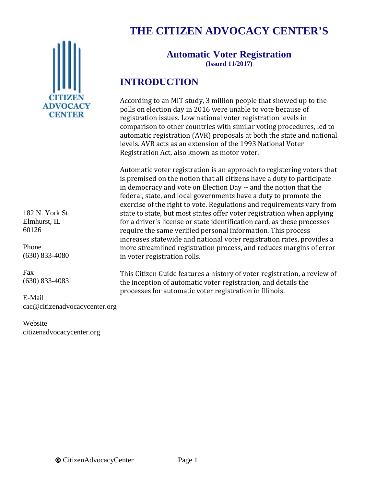

182 N. York St. Elmhurst, IL 60126

Phone (630) 833-4080

Fax (630) 833-4083

E-Mail cac@citizenadvocacycenter.org

Website citizenadvocacycenter.org

# **THE CITIZEN ADVOCACY CENTER'S**

#### **Automatic Voter Registration (Issued 11/2017)**

# **INTRODUCTION**

According to an MIT study, 3 million people that showed up to the polls on election day in 2016 were unable to vote because of registration issues. Low national voter registration levels in comparison to other countries with similar voting procedures, led to automatic registration (AVR) proposals at both the state and national levels. AVR acts as an extension of the 1993 National Voter Registration Act, also known as motor voter.

Automatic voter registration is an approach to registering voters that is premised on the notion that all citizens have a duty to participate in democracy and vote on Election Day -- and the notion that the federal, state, and local governments have a duty to promote the exercise of the right to vote. Regulations and requirements vary from state to state, but most states offer voter registration when applying for a driver's license or state identification card, as these processes require the same verified personal information. This process increases statewide and national voter registration rates, provides a more streamlined registration process, and reduces margins of error in voter registration rolls.

This Citizen Guide features a history of voter registration, a review of the inception of automatic voter registration, and details the processes for automatic voter registration in Illinois.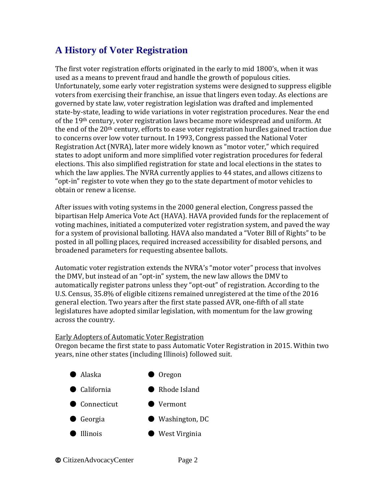### **A History of Voter Registration**

The first voter registration efforts originated in the early to mid 1800's, when it was used as a means to prevent fraud and handle the growth of populous cities. Unfortunately, some early voter registration systems were designed to suppress eligible voters from exercising their franchise, an issue that lingers even today. As elections are governed by state law, voter registration legislation was drafted and implemented state-by-state, leading to wide variations in voter registration procedures. Near the end of the 19th century, voter registration laws became more widespread and uniform. At the end of the 20<sup>th</sup> century, efforts to ease voter registration hurdles gained traction due to concerns over low voter turnout. In 1993, Congress passed the National Voter Registration Act (NVRA), later more widely known as "motor voter," which required states to adopt uniform and more simplified voter registration procedures for federal elections. This also simplified registration for state and local elections in the states to which the law applies. The NVRA currently applies to 44 states, and allows citizens to "opt-in" register to vote when they go to the state department of motor vehicles to obtain or renew a license.

After issues with voting systems in the 2000 general election, Congress passed the bipartisan Help America Vote Act (HAVA). HAVA provided funds for the replacement of voting machines, initiated a computerized voter registration system, and paved the way for a system of provisional balloting. HAVA also mandated a "Voter Bill of Rights" to be posted in all polling places, required increased accessibility for disabled persons, and broadened parameters for requesting absentee ballots.

Automatic voter registration extends the NVRA's "motor voter" process that involves the DMV, but instead of an "opt-in" system, the new law allows the DMV to automatically register patrons unless they "opt-out" of registration. According to the U.S. Census, 35.8% of eligible citizens remained unregistered at the time of the 2016 general election. Two years after the first state passed AVR, one-fifth of all state legislatures have adopted similar legislation, with momentum for the law growing across the country.

#### Early Adopters of Automatic Voter Registration

Oregon became the first state to pass Automatic Voter Registration in 2015. Within two years, nine other states (including Illinois) followed suit.

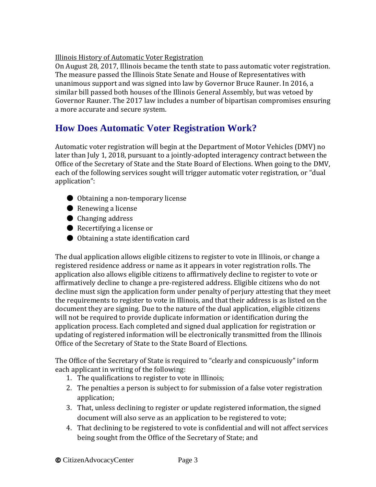#### Illinois History of Automatic Voter Registration

On August 28, 2017, Illinois became the tenth state to pass automatic voter registration. The measure passed the Illinois State Senate and House of Representatives with unanimous support and was signed into law by Governor Bruce Rauner. In 2016, a similar bill passed both houses of the Illinois General Assembly, but was vetoed by Governor Rauner. The 2017 law includes a number of bipartisan compromises ensuring a more accurate and secure system.

### **How Does Automatic Voter Registration Work?**

Automatic voter registration will begin at the Department of Motor Vehicles (DMV) no later than July 1, 2018, pursuant to a jointly-adopted interagency contract between the Office of the Secretary of State and the State Board of Elections. When going to the DMV, each of the following services sought will trigger automatic voter registration, or "dual application":

- Obtaining a non-temporary license
- Renewing a license
- Changing address
- Recertifying a license or
- Obtaining a state identification card

The dual application allows eligible citizens to register to vote in Illinois, or change a registered residence address or name as it appears in voter registration rolls. The application also allows eligible citizens to affirmatively decline to register to vote or affirmatively decline to change a pre-registered address. Eligible citizens who do not decline must sign the application form under penalty of perjury attesting that they meet the requirements to register to vote in Illinois, and that their address is as listed on the document they are signing. Due to the nature of the dual application, eligible citizens will not be required to provide duplicate information or identification during the application process. Each completed and signed dual application for registration or updating of registered information will be electronically transmitted from the Illinois Office of the Secretary of State to the State Board of Elections.

The Office of the Secretary of State is required to "clearly and conspicuously" inform each applicant in writing of the following:

- 1. The qualifications to register to vote in Illinois;
- 2. The penalties a person is subject to for submission of a false voter registration application;
- 3. That, unless declining to register or update registered information, the signed document will also serve as an application to be registered to vote;
- 4. That declining to be registered to vote is confidential and will not affect services being sought from the Office of the Secretary of State; and